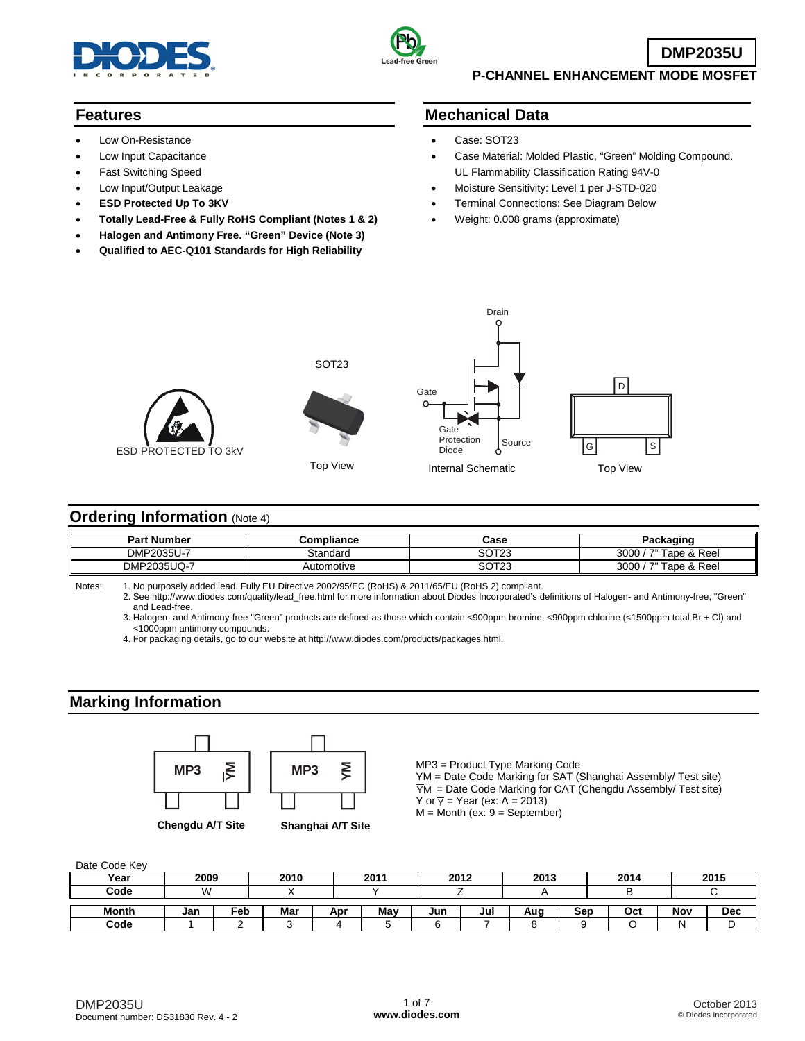



**DMP2035U**

#### **P-CHANNEL ENHANCEMENT MODE MOSFET**

#### **Features**

- Low On-Resistance
- Low Input Capacitance
- Fast Switching Speed
- Low Input/Output Leakage
- **ESD Protected Up To 3KV**
- **Totally Lead-Free & Fully RoHS Compliant (Notes 1 & 2)**
- **Halogen and Antimony Free. "Green" Device (Note 3)**
- **Qualified to AEC-Q101 Standards for High Reliability**

## **Mechanical Data**

- Case: SOT23
- Case Material: Molded Plastic, "Green" Molding Compound. UL Flammability Classification Rating 94V-0
- Moisture Sensitivity: Level 1 per J-STD-020
- Terminal Connections: See Diagram Below
- Weight: 0.008 grams (approximate)





SOT23





#### **Ordering Information (Note 4)**

| <b>Part Number</b> | `ompliance | Case                         | 'ackaging                      |
|--------------------|------------|------------------------------|--------------------------------|
| DMP2035U-7<br>-    | Standaro   | COTOO<br>ວ∪⊺∠ວ               | 3000<br>$-22 -$<br>Tape & Reel |
| DMP2035UQ-7        | Automotive | <b>COTOO</b><br>ושכ<br>ت ∠ ا | $-22 -$<br>Tape & Reel<br>3000 |

Notes: 1. No purposely added lead. Fully EU Directive 2002/95/EC (RoHS) & 2011/65/EU (RoHS 2) compliant.

2. See [http://www.diodes.com/quality/lead\\_free.html](http://www.diodes.com/quality/lead_free.html) for more information about Diodes Incorporated's definitions of Halogen- and Antimony-free, "Green" and Lead-free.

3. Halogen- and Antimony-free "Green" products are defined as those which contain <900ppm bromine, <900ppm chlorine (<1500ppm total Br + Cl) and <1000ppm antimony compounds.

4. For packaging details, go to our website at [http://www.diodes.com/products/packages.html.](http://www.diodes.com/products/packages.html)

## **Marking Information**



**Chengdu A/T Site Shanghai A/T Site**

MP3 = Product Type Marking Code YM = Date Code Marking for SAT (Shanghai Assembly/ Test site)  $\overline{Y}M$  = Date Code Marking for CAT (Chengdu Assembly/ Test site) Y or  $\overline{Y}$  = Year (ex: A = 2013)  $M =$  Month (ex:  $9 =$  September)

Date Code Key

| Year  | 2009 |     | 2010 |     | 2011 | 2012 |     | 2013 |     | 2014 |     | 2015 |
|-------|------|-----|------|-----|------|------|-----|------|-----|------|-----|------|
| Code  | M    |     |      |     |      |      |     |      |     |      |     |      |
| Month | Jan  | Feb | Mar  | Apr | May  | Jun  | Jul | Aug  | Sep | Oct  | Nov | Dec  |
| Code  |      |     |      |     |      |      |     |      |     |      | N   | ۰    |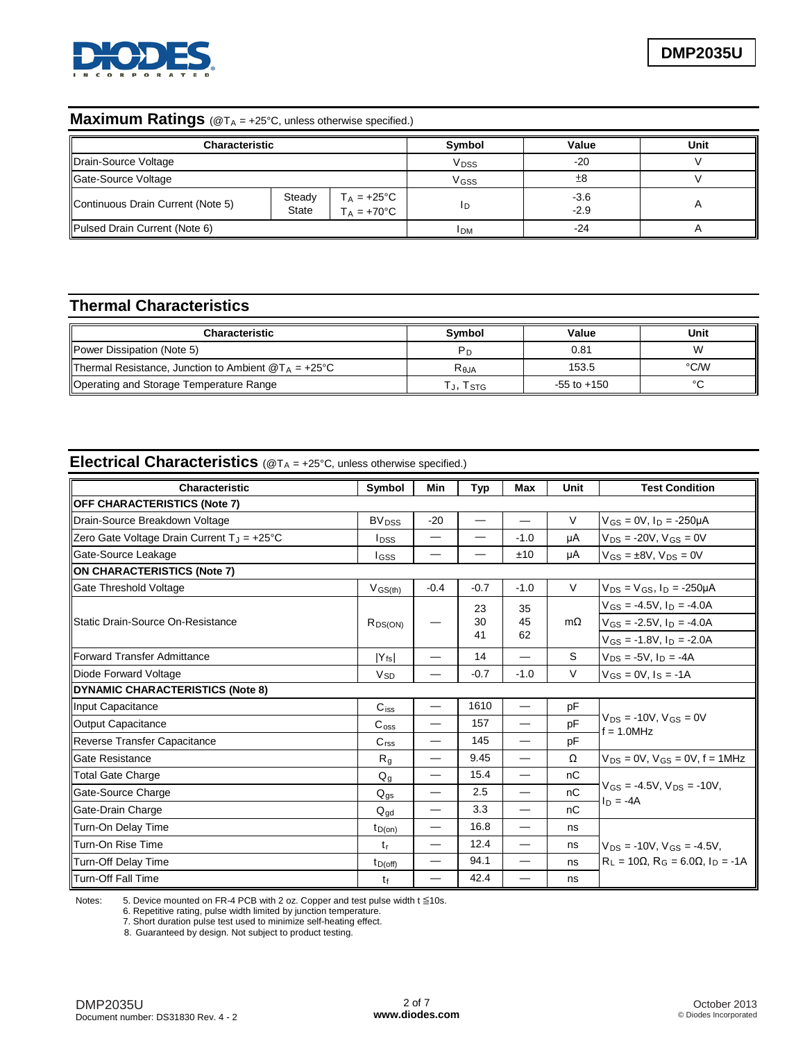

### **Maximum Ratings** (@T<sub>A</sub> = +25°C, unless otherwise specified.)

| <b>Characteristic</b>             |                                              |                  | Symbol                  | Value | Unit |
|-----------------------------------|----------------------------------------------|------------------|-------------------------|-------|------|
| Drain-Source Voltage              |                                              |                  | <b>V</b> <sub>DSS</sub> | $-20$ |      |
| Gate-Source Voltage               |                                              | V <sub>GSS</sub> | $\pm 8$                 |       |      |
| Continuous Drain Current (Note 5) | $T_A = +25^{\circ}C$<br>$T_A = +70^{\circ}C$ |                  | $-3.6$<br>$-2.9$        |       |      |
| Pulsed Drain Current (Note 6)     |                                              | <b>IDM</b>       | -24                     |       |      |

# **Thermal Characteristics**

| <b>Characteristic</b>                                        | Symbol     | Value           | Unit   |  |
|--------------------------------------------------------------|------------|-----------------|--------|--|
| Power Dissipation (Note 5)                                   | Pr.        | 0.81            | W      |  |
| Thermal Resistance, Junction to Ambient $@T_A = +25^\circ C$ | $R_{0,IA}$ | 153.5           | °C∕W   |  |
| Operating and Storage Temperature Range                      | Гл, Tsтg   | $-55$ to $+150$ | $\sim$ |  |

#### **Electrical Characteristics** (@T<sub>A</sub> = +25°C, unless otherwise specified.)

| Characteristic                                                | Symbol                  | Min                            | Typ            | Max                      | Unit      | <b>Test Condition</b>                                      |  |
|---------------------------------------------------------------|-------------------------|--------------------------------|----------------|--------------------------|-----------|------------------------------------------------------------|--|
| <b>OFF CHARACTERISTICS (Note 7)</b>                           |                         |                                |                |                          |           |                                                            |  |
| Drain-Source Breakdown Voltage                                |                         | $-20$                          |                | $\overline{\phantom{0}}$ | $\vee$    | $V_{GS} = 0V$ , $I_D = -250 \mu A$                         |  |
| Zero Gate Voltage Drain Current $T_{\text{J}} = +25^{\circ}C$ | <b>I</b> <sub>DSS</sub> |                                |                | $-1.0$                   | μA        | $V_{DS}$ = -20V, $V_{GS}$ = 0V                             |  |
| Gate-Source Leakage                                           | lgss                    | $\hspace{0.05cm}$              |                | ±10                      | μA        | $V_{GS} = \pm 8V$ , $V_{DS} = 0V$                          |  |
| <b>ON CHARACTERISTICS (Note 7)</b>                            |                         |                                |                |                          |           |                                                            |  |
| Gate Threshold Voltage                                        | $V$ <sub>GS(th)</sub>   | $-0.4$                         | $-0.7$         | $-1.0$                   | $\vee$    | $V_{DS} = V_{GS}$ , $I_D = -250 \mu A$                     |  |
|                                                               |                         |                                | 23<br>30<br>41 | 35<br>45<br>62           |           | $V$ <sub>GS</sub> = -4.5V, $I_D$ = -4.0A                   |  |
| Static Drain-Source On-Resistance                             | $R_{DS(ON)}$            |                                |                |                          | $m\Omega$ | $V$ <sub>GS</sub> = -2.5V, $I_D$ = -4.0A                   |  |
|                                                               |                         |                                |                |                          |           | $V$ <sub>GS</sub> = -1.8V, $I_D$ = -2.0A                   |  |
| <b>Forward Transfer Admittance</b>                            | $ Y_{fs} $              |                                | 14             |                          | S         | $V_{DS} = -5V$ , $I_D = -4A$                               |  |
| Diode Forward Voltage                                         | <b>V<sub>SD</sub></b>   |                                | $-0.7$         | $-1.0$                   | $\vee$    | $V_{GS} = 0V$ , $I_S = -1A$                                |  |
| <b>DYNAMIC CHARACTERISTICS (Note 8)</b>                       |                         |                                |                |                          |           |                                                            |  |
| Input Capacitance                                             | $C_{iss}$               |                                | 1610           | $\overline{\phantom{0}}$ | pF        |                                                            |  |
| <b>Output Capacitance</b>                                     | $C_{\rm oss}$           |                                | 157            |                          | pF        | $V_{DS} = -10V$ , $V_{GS} = 0V$<br>$f = 1.0$ MHz           |  |
| <b>Reverse Transfer Capacitance</b>                           | $C_{\text{rss}}$        | —                              | 145            | $\overline{\phantom{0}}$ | pF        |                                                            |  |
| Gate Resistance                                               | $R_{q}$                 | $\qquad \qquad \longleftarrow$ | 9.45           | $\overline{\phantom{0}}$ | Ω         | $V_{DS} = 0V$ , $V_{GS} = 0V$ , $f = 1MHz$                 |  |
| <b>Total Gate Charge</b>                                      | $Q_g$                   | $\hspace{0.05cm}$              | 15.4           | $\overline{\phantom{0}}$ | nC        |                                                            |  |
| Gate-Source Charge                                            | $Q_{gs}$                |                                | 2.5            | $\overline{\phantom{0}}$ | nC        | $V$ <sub>GS</sub> = -4.5V, $V_{DS}$ = -10V.<br>$I_D = -4A$ |  |
| Gate-Drain Charge                                             | $Q_{\text{dd}}$         | $\overline{\phantom{0}}$       | 3.3            | $\overline{\phantom{0}}$ | nC        |                                                            |  |
| Turn-On Delay Time                                            | $t_{D(on)}$             |                                | 16.8           | $\overline{\phantom{0}}$ | ns        |                                                            |  |
| Turn-On Rise Time                                             | tr                      |                                | 12.4           | $\overline{\phantom{0}}$ | ns        | $V_{DS}$ = -10V, $V_{GS}$ = -4.5V,                         |  |
| <b>Turn-Off Delay Time</b>                                    | $t_{D(off)}$            |                                | 94.1           |                          | ns        | $R_L = 10\Omega$ , $R_G = 6.0\Omega$ , $I_D = -1A$         |  |
| <b>Turn-Off Fall Time</b>                                     | tf                      |                                | 42.4           |                          | ns        |                                                            |  |

Notes: 5. Device mounted on FR-4 PCB with 2 oz. Copper and test pulse width t ≦10s.

6. Repetitive rating, pulse width limited by junction temperature.

7. Short duration pulse test used to minimize self-heating effect.

8. Guaranteed by design. Not subject to product testing.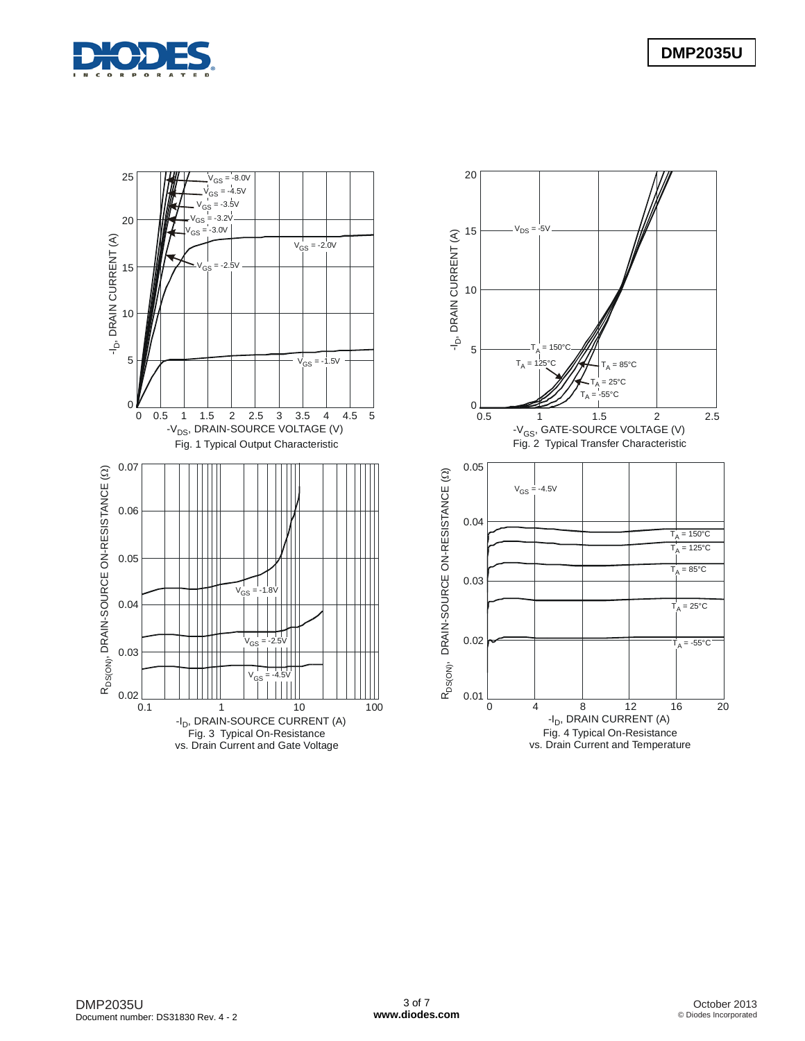



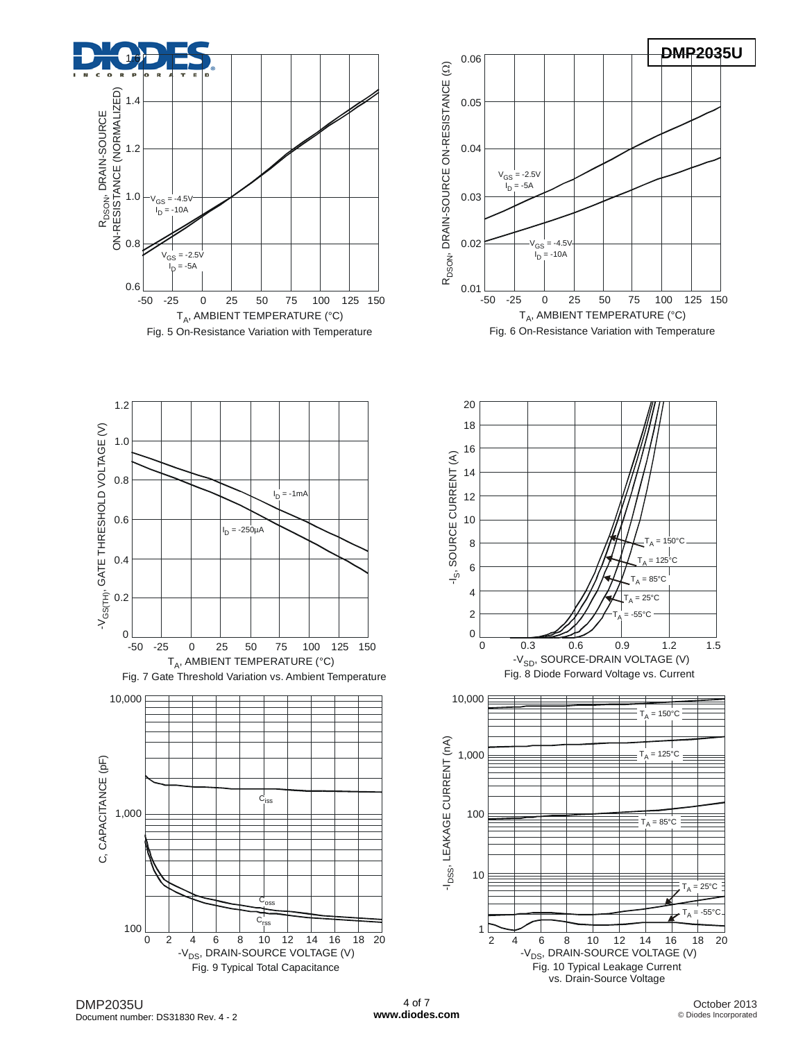











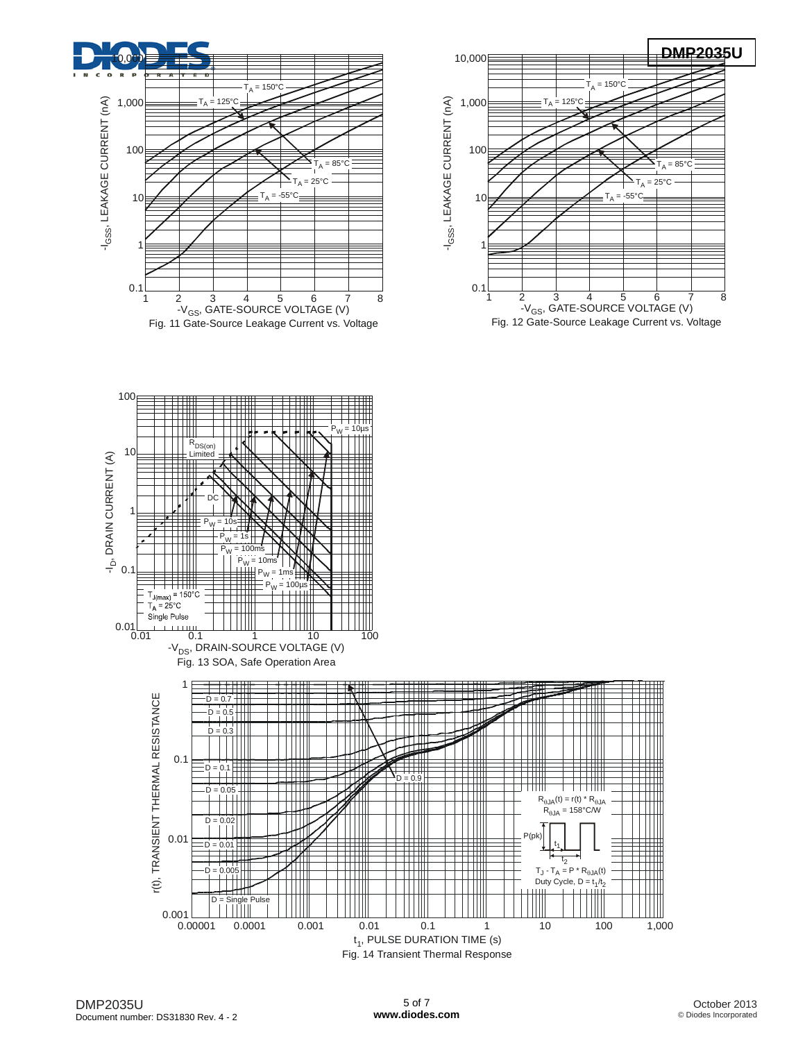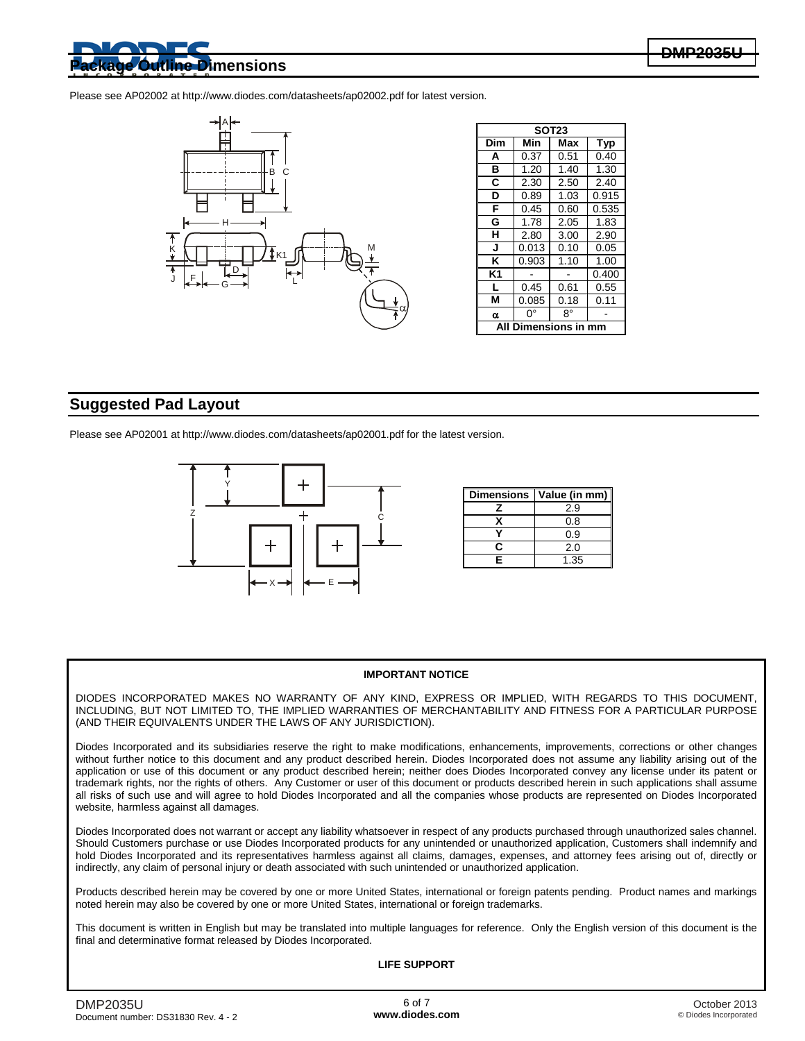# **Imensions**

Please see AP02002 at [http://www.diodes.com/datasheets/ap02002.pdf fo](http://www.diodes.com/datasheets/ap02002.pdf)r latest version.



| <b>SOT23</b> |              |      |            |  |  |  |  |
|--------------|--------------|------|------------|--|--|--|--|
| Dim          | Min          | Max  | <b>Typ</b> |  |  |  |  |
| А            | 0.37         | 0.51 | 0.40       |  |  |  |  |
| в            | 1.20         | 1.40 | 1.30       |  |  |  |  |
| C            | 2.30         | 2.50 | 2.40       |  |  |  |  |
| D            | 0.89         | 1.03 | 0.915      |  |  |  |  |
| F            | 0.45         | 0.60 | 0.535      |  |  |  |  |
| G            | 1.78         | 2.05 |            |  |  |  |  |
| н            | 3.00<br>2.80 |      | 2.90       |  |  |  |  |
| J            | 0.013        | 0.10 | 0.05       |  |  |  |  |
| κ            | 0.903        | 1.10 | 1.00       |  |  |  |  |
| K1           | 0.400        |      |            |  |  |  |  |
| L            | 0.45         | 0.61 | 0.55       |  |  |  |  |
| М            | 0.085        | 0.18 | 0.11       |  |  |  |  |
| α            | ŋ۰           | 8°   |            |  |  |  |  |
| nensions     |              |      |            |  |  |  |  |

# **Suggested Pad Layout**

Please see AP02001 at [http://www.diodes.com/datasheets/ap02001.pdf fo](http://www.diodes.com/datasheets/ap02001.pdf)r the latest version.



| <b>Dimensions</b> | Value (in mm) |
|-------------------|---------------|
|                   | 2.9           |
|                   | 0.8           |
|                   | 0.9           |
| r                 | 2.0           |
| E                 | 1.35          |

#### **IMPORTANT NOTICE**

DIODES INCORPORATED MAKES NO WARRANTY OF ANY KIND, EXPRESS OR IMPLIED, WITH REGARDS TO THIS DOCUMENT, INCLUDING, BUT NOT LIMITED TO, THE IMPLIED WARRANTIES OF MERCHANTABILITY AND FITNESS FOR A PARTICULAR PURPOSE (AND THEIR EQUIVALENTS UNDER THE LAWS OF ANY JURISDICTION).

Diodes Incorporated and its subsidiaries reserve the right to make modifications, enhancements, improvements, corrections or other changes without further notice to this document and any product described herein. Diodes Incorporated does not assume any liability arising out of the application or use of this document or any product described herein; neither does Diodes Incorporated convey any license under its patent or trademark rights, nor the rights of others. Any Customer or user of this document or products described herein in such applications shall assume all risks of such use and will agree to hold Diodes Incorporated and all the companies whose products are represented on Diodes Incorporated website, harmless against all damages.

Diodes Incorporated does not warrant or accept any liability whatsoever in respect of any products purchased through unauthorized sales channel. Should Customers purchase or use Diodes Incorporated products for any unintended or unauthorized application, Customers shall indemnify and hold Diodes Incorporated and its representatives harmless against all claims, damages, expenses, and attorney fees arising out of, directly or indirectly, any claim of personal injury or death associated with such unintended or unauthorized application.

Products described herein may be covered by one or more United States, international or foreign patents pending. Product names and markings noted herein may also be covered by one or more United States, international or foreign trademarks.

This document is written in English but may be translated into multiple languages for reference. Only the English version of this document is the final and determinative format released by Diodes Incorporated.

#### **LIFE SUPPORT**